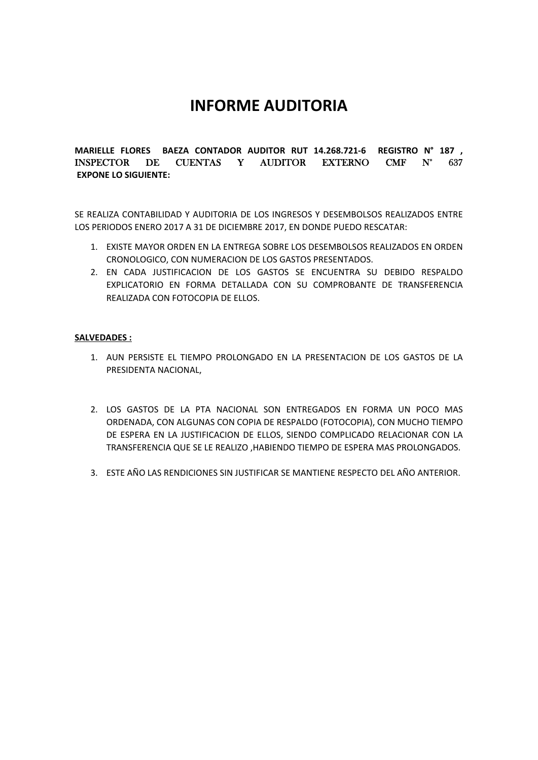## **INFORME AUDITORIA**

**MARIELLE FLORES BAEZA CONTADOR AUDITOR RUT 14.268.721‐6 REGISTRO N° 187 ,**  INSPECTOR DE CUENTAS Y AUDITOR EXTERNO CMF N° 637  **EXPONE LO SIGUIENTE:** 

SE REALIZA CONTABILIDAD Y AUDITORIA DE LOS INGRESOS Y DESEMBOLSOS REALIZADOS ENTRE LOS PERIODOS ENERO 2017 A 31 DE DICIEMBRE 2017, EN DONDE PUEDO RESCATAR:

- 1. EXISTE MAYOR ORDEN EN LA ENTREGA SOBRE LOS DESEMBOLSOS REALIZADOS EN ORDEN CRONOLOGICO, CON NUMERACION DE LOS GASTOS PRESENTADOS.
- 2. EN CADA JUSTIFICACION DE LOS GASTOS SE ENCUENTRA SU DEBIDO RESPALDO EXPLICATORIO EN FORMA DETALLADA CON SU COMPROBANTE DE TRANSFERENCIA REALIZADA CON FOTOCOPIA DE ELLOS.

## **SALVEDADES :**

- 1. AUN PERSISTE EL TIEMPO PROLONGADO EN LA PRESENTACION DE LOS GASTOS DE LA PRESIDENTA NACIONAL,
- 2. LOS GASTOS DE LA PTA NACIONAL SON ENTREGADOS EN FORMA UN POCO MAS ORDENADA, CON ALGUNAS CON COPIA DE RESPALDO (FOTOCOPIA), CON MUCHO TIEMPO DE ESPERA EN LA JUSTIFICACION DE ELLOS, SIENDO COMPLICADO RELACIONAR CON LA TRANSFERENCIA QUE SE LE REALIZO ,HABIENDO TIEMPO DE ESPERA MAS PROLONGADOS.
- 3. ESTE AÑO LAS RENDICIONES SIN JUSTIFICAR SE MANTIENE RESPECTO DEL AÑO ANTERIOR.